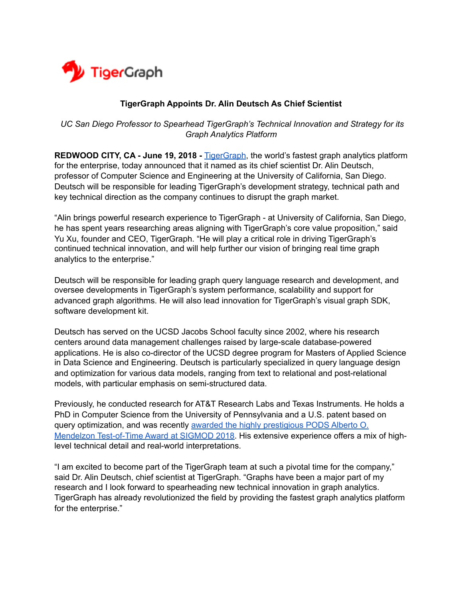

## **TigerGraph Appoints Dr. Alin Deutsch As Chief Scientist**

 *UC San Diego Professor to Spearhead TigerGraph's Technical Innovation and Strategy for its Graph Analytics Platform* 

**REDWOOD CITY, CA [-](https://www.tigergraph.com/) June 19, 2018 - [TigerGraph](https://www.tigergraph.com/), the world's fastest graph analytics platform** for the enterprise, today announced that it named as its chief scientist Dr. Alin Deutsch, professor of Computer Science and Engineering at the University of California, San Diego. Deutsch will be responsible for leading TigerGraph's development strategy, technical path and key technical direction as the company continues to disrupt the graph market.

"Alin brings powerful research experience to TigerGraph - at University of California, San Diego, he has spent years researching areas aligning with TigerGraph's core value proposition," said Yu Xu, founder and CEO, TigerGraph. "He will play a critical role in driving TigerGraph's continued technical innovation, and will help further our vision of bringing real time graph analytics to the enterprise."

Deutsch will be responsible for leading graph query language research and development, and oversee developments in TigerGraph's system performance, scalability and support for advanced graph algorithms. He will also lead innovation for TigerGraph's visual graph SDK, software development kit.

Deutsch has served on the UCSD Jacobs School faculty since 2002, where his research centers around data management challenges raised by large-scale database-powered applications. He is also co-director of the UCSD degree program for Masters of Applied Science in Data Science and Engineering. Deutsch is particularly specialized in query language design and optimization for various data models, ranging from text to relational and post-relational models, with particular emphasis on semi-structured data.

Previously, he conducted research for AT&T Research Labs and Texas Instruments. He holds a PhD in Computer Science from the University of Pennsylvania and a U.S. patent based on query optimization, and was recently [awarded the highly prestigious](https://sigmod2018.org/pods_awards.shtml) [PODS Alberto O.](https://sigmod2018.org/pods_awards.shtml)  [Mendelzon Test-of-Time Award at SIGMOD 2018](https://sigmod2018.org/pods_awards.shtml). His extensive experience offers a mix of highlevel technical detail and real-world interpretations.

"I am excited to become part of the TigerGraph team at such a pivotal time for the company," said Dr. Alin Deutsch, chief scientist at TigerGraph. "Graphs have been a major part of my research and I look forward to spearheading new technical innovation in graph analytics. TigerGraph has already revolutionized the field by providing the fastest graph analytics platform for the enterprise."